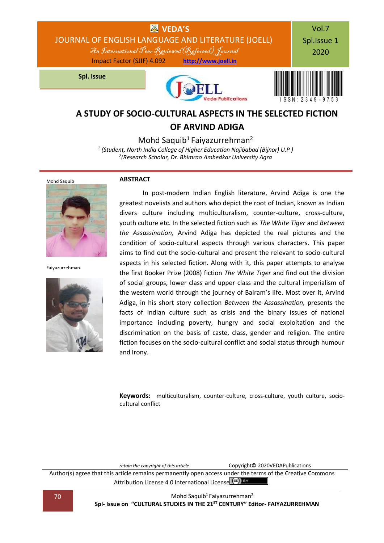

## **OF ARVIND ADIGA**

Mohd Saquib<sup>1</sup> Faiyazurrehman<sup>2</sup>

*1 (Student, North India College of Higher Education Najibabad (Bijnor) U.P ) 2 (Research Scholar, Dr. Bhimrao Ambedkar University Agra*



#### **ABSTRACT**



Faiyazurrehman



In post-modern Indian English literature, Arvind Adiga is one the greatest novelists and authors who depict the root of Indian, known as Indian divers culture including multiculturalism, counter-culture, cross-culture, youth culture etc. In the selected fiction such as *The White Tiger* and *Between the Assassination,* Arvind Adiga has depicted the real pictures and the condition of socio-cultural aspects through various characters. This paper aims to find out the socio-cultural and present the relevant to socio-cultural aspects in his selected fiction. Along with it, this paper attempts to analyse the first Booker Prize (2008) fiction *The White Tiger* and find out the division of social groups, lower class and upper class and the cultural imperialism of the western world through the journey of Balram's life. Most over it, Arvind Adiga, in his short story collection *Between the Assassination,* presents the facts of Indian culture such as crisis and the binary issues of national importance including poverty, hungry and social exploitation and the discrimination on the basis of caste, class, gender and religion. The entire fiction focuses on the socio-cultural conflict and social status through humour and Irony.

**Keywords:** multiculturalism, counter-culture, cross-culture, youth culture, sociocultural conflict

*retain the copyright of this article* Copyright© 2020VEDAPublications Author(s) agree that this article remains permanently open access under the terms of the Creative Commons Attribution Lic[e](http://creativecommons.org/licenses/by/4.0/)nse 4.0 International License  $\left(\alpha c\right)$  BY

70 Mohd Saquib<sup>1</sup> Faiyazurrehman<sup>2</sup> **Spl- Issue on "CULTURAL STUDIES IN THE 21ST CENTURY" Editor- FAIYAZURREHMAN**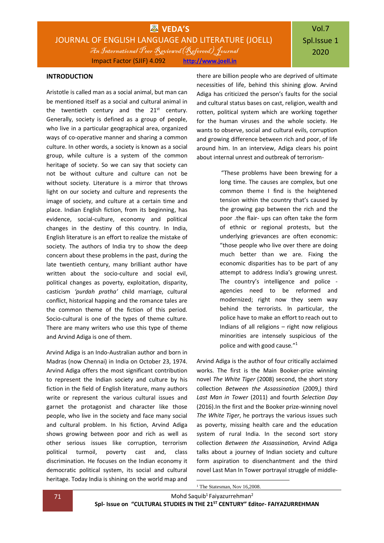#### **INTRODUCTION**

Aristotle is called man as a social animal, but man can be mentioned itself as a social and cultural animal in the twentieth century and the  $21<sup>st</sup>$  century. Generally, society is defined as a group of people, who live in a particular geographical area, organized ways of co-operative manner and sharing a common culture. In other words, a society is known as a social group, while culture is a system of the common heritage of society. So we can say that society can not be without culture and culture can not be without society. Literature is a mirror that throws light on our society and culture and represents the image of society, and culture at a certain time and place. Indian English fiction, from its beginning, has evidence, social-culture, economy and political changes in the destiny of this country. In India, English literature is an effort to realize the mistake of society. The authors of India try to show the deep concern about these problems in the past, during the late twentieth century, many brilliant author have written about the socio-culture and social evil, political changes as poverty, exploitation, disparity, casticism *'purdah pratha'* child marriage, cultural conflict, historical happing and the romance tales are the common theme of the fiction of this period. Socio-cultural is one of the types of theme culture. There are many writers who use this type of theme and Arvind Adiga is one of them.

Arvind Adiga is an Indo-Australian author and born in Madras (now Chennai) in India on October 23, 1974. Arvind Adiga offers the most significant contribution to represent the Indian society and culture by his fiction in the field of English literature, many authors write or represent the various cultural issues and garnet the protagonist and character like those people, who live in the society and face many social and cultural problem. In his fiction, Arvind Adiga shows growing between poor and rich as well as other serious issues like corruption, terrorism political turmoil, poverty cast and, class discrimination. He focuses on the Indian economy it democratic political system, its social and cultural heritage. Today India is shining on the world map and

there are billion people who are deprived of ultimate necessities of life, behind this shining glow. Arvind Adiga has criticized the person's faults for the social and cultural status bases on cast, religion, wealth and rotten, political system which are working together for the human viruses and the whole society. He wants to observe, social and cultural evils, corruption and growing difference between rich and poor, of life around him. In an interview, Adiga clears his point about internal unrest and outbreak of terrorism-

> "These problems have been brewing for a long time. The causes are complex, but one common theme I find is the heightened tension within the country that's caused by the growing gap between the rich and the poor .the flair- ups can often take the form of ethnic or regional protests, but the underlying grievances are often economic: "those people who live over there are doing much better than we are. Fixing the economic disparities has to be part of any attempt to address India's growing unrest. The country's intelligence and police agencies need to be reformed and modernized; right now they seem way behind the terrorists. In particular, the police have to make an effort to reach out to Indians of all religions – right now religious minorities are intensely suspicious of the police and with good cause."<sup>1</sup>

Arvind Adiga is the author of four critically acclaimed works. The first is the Main Booker-prize winning novel *The White Tiger* (2008) second, the short story collection *Between the Assassination* (2009,) third *Last Man in Tower* (2011) and fourth *Selection Day* (2016).In the first and the Booker prize-winning novel *The White Tiger*, he portrays the various issues such as poverty, missing health care and the education system of rural India. In the second sort story collection *Between the Assassination,* Arvind Adiga talks about a journey of Indian society and culture form aspiration to disenchantment and the third novel Last Man In Tower portrayal struggle of middle-

1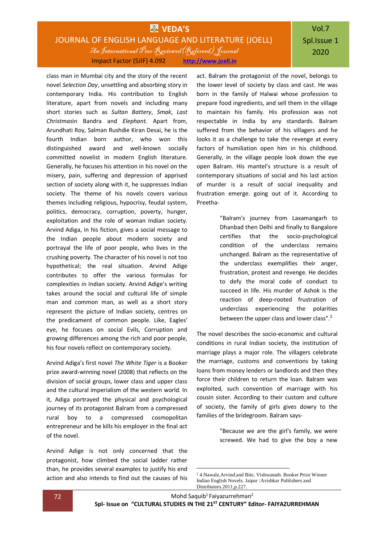### **WAS** VEDA'S JOURNAL OF ENGLISH LANGUAGE AND LITERATURE (JOELL) An International Peer Reviewed(Refereed) Journal Impact Factor (SJIF) 4.092 **[http://www.joell.in](http://www.joell.in/)**

# Vol.7 Spl.Issue 1 2020

class man in Mumbai city and the story of the recent novel *Selection Day*, unsettling and absorbing story in contemporary India. His contribution to English literature, apart from novels and including many short stories such as *Sultan Battery*, *Smak*, *Last Christmas*in Bandra and *Elephant.* Apart from, Arundhati Roy, Salman Rushdie Kiran Desai, he is the fourth Indian born author, who won this distinguished award and well-known socially committed novelist in modern English literature. Generally, he focuses his attention in his novel on the misery, pain, suffering and depression of apprised section of society along with it, he suppresses Indian society. The theme of his novels covers various themes including religious, hypocrisy, feudal system, politics, democracy, corruption, poverty, hunger, exploitation and the role of woman Indian society. Arvind Adiga, in his fiction, gives a social message to the Indian people about modern society and portrayal the life of poor people, who lives in the crushing poverty. The character of his novel is not too hypothetical; the real situation. Arvind Adige contributes to offer the various formulas for complexities in Indian society. Arvind Adige's writing takes around the social and cultural life of simple man and common man, as well as a short story represent the picture of Indian society, centres on the predicament of common people. Like, Eagles' eye, he focuses on social Evils, Corruption and growing differences among the rich and poor people, his four novels reflect on contemporary society.

Arvind Adiga's first novel *The White Tiger* is a Booker prize award-winning novel (2008) that reflects on the division of social groups, lower class and upper class and the cultural imperialism of the western world. In it, Adiga portrayed the physical and psychological journey of its protagonist Balram from a compressed rural boy to a compressed cosmopolitan entrepreneur and he kills his employer in the final act of the novel.

Arvind Adige is not only concerned that the protagonist, how climbed the social ladder rather than, he provides several examples to justify his end action and also intends to find out the causes of his

act. Balram the protagonist of the novel, belongs to the lower level of society by class and cast. He was born in the family of Halwai whose profession to prepare food ingredients, and sell them in the village to maintain his family. His profession was not respectable in India by any standards. Balram suffered from the behavior of his villagers and he looks it as a challenge to take the revenge at every factors of humiliation open him in his childhood. Generally, in the village people look down the eye open Balram. His mantel's structure is a result of contemporary situations of social and his last action of murder is a result of social inequality and frustration emerge. going out of it. According to Preetha-

> "Balram's journey from Laxamangarh to Dhanbad then Delhi and finally to Bangalore certifies that the socio-psychological condition of the underclass remains unchanged. Balram as the representative of the underclass exemplifies their anger, frustration, protest and revenge. He decides to defy the moral code of conduct to succeed in life. His murder of Ashok is the reaction of deep-rooted frustration of underclass experiencing the polarities between the upper class and lower class".<sup>2</sup>

The novel describes the socio-economic and cultural conditions in rural Indian society, the institution of marriage plays a major role. The villagers celebrate the marriage, customs and conventions by taking loans from money lenders or landlords and then they force their children to return the loan. Balram was exploited, such convention of marriage with his cousin sister. According to their custom and culture of society, the family of girls gives dowry to the families of the bridegroom. Balram says-

> "Because we are the girl's family, we were screwed. We had to give the boy a new

1

<sup>2</sup> 4.Nawale,Arvind.and Bite, Vishwanath. Booker Prize Winner Indian English Novels. Jaipur :Avishkar Publishers and Distributors.2011,p.227.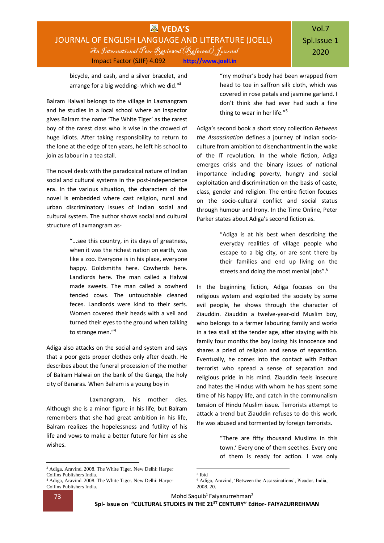bicycle, and cash, and a silver bracelet, and arrange for a big wedding- which we did."<sup>3</sup>

Balram Halwai belongs to the village in Laxmangram and he studies in a local school where an inspector gives Balram the name 'The White Tiger' as the rarest boy of the rarest class who is wise in the crowed of huge idiots. After taking responsibility to return to the lone at the edge of ten years, he left his school to join as labour in a tea stall.

The novel deals with the paradoxical nature of Indian social and cultural systems in the post-independence era. In the various situation, the characters of the novel is embedded where cast religion, rural and urban discriminatory issues of Indian social and cultural system. The author shows social and cultural structure of Laxmangram as-

> "...see this country, in its days of greatness, when it was the richest nation on earth, was like a zoo. Everyone is in his place, everyone happy. Goldsmiths here. Cowherds here. Landlords here. The man called a Halwai made sweets. The man called a cowherd tended cows. The untouchable cleaned feces. Landlords were kind to their serfs. Women covered their heads with a veil and turned their eyes to the ground when talking to strange men."<sup>4</sup>

Adiga also attacks on the social and system and says that a poor gets proper clothes only after death. He describes about the funeral procession of the mother of Balram Halwai on the bank of the Ganga, the holy city of Banaras. When Balram is a young boy in

Laxmangram, his mother dies. Although she is a minor figure in his life, but Balram remembers that she had great ambition in his life, Balram realizes the hopelessness and futility of his life and vows to make a better future for him as she wishes.

"my mother's body had been wrapped from head to toe in saffron silk cloth, which was covered in rose petals and jasmine garland. I don't think she had ever had such a fine thing to wear in her life."<sup>5</sup>

Adiga's second book a short story collection *Between the Assassination* defines a journey of Indian socioculture from ambition to disenchantment in the wake of the IT revolution. In the whole fiction, Adiga emerges crisis and the binary issues of national importance including poverty, hungry and social exploitation and discrimination on the basis of caste, class, gender and religion. The entire fiction focuses on the socio-cultural conflict and social status through humour and Irony. In the Time Online, Peter Parker states about Adiga's second fiction as.

> "Adiga is at his best when describing the everyday realities of village people who escape to a big city, or are sent there by their families and end up living on the streets and doing the most menial jobs".<sup>6</sup>

In the beginning fiction, Adiga focuses on the religious system and exploited the society by some evil people, he shows through the character of Ziauddin. Ziauddin a twelve-year-old Muslim boy, who belongs to a farmer labouring family and works in a tea stall at the tender age, after staying with his family four months the boy losing his innocence and shares a pried of religion and sense of separation. Eventually, he comes into the contact with Pathan terrorist who spread a sense of separation and religious pride in his mind. Ziauddin feels insecure and hates the Hindus with whom he has spent some time of his happy life, and catch in the communalism tension of Hindu Muslim issue. Terrorists attempt to attack a trend but Ziauddin refuses to do this work. He was abused and tormented by foreign terrorists.

> "There are fifty thousand Muslims in this town.' Every one of them seethes. Every one of them is ready for action. I was only

1

73 Mohd Saquib<sup>1</sup> Faiyazurrehman<sup>2</sup>

**Spl- Issue on "CULTURAL STUDIES IN THE 21ST CENTURY" Editor- FAIYAZURREHMAN**

**.** 

<sup>3</sup> Adiga, Aravind. 2008. The White Tiger. New Delhi: Harper Collins Publishers India.

<sup>4</sup> Adiga, Aravind. 2008. The White Tiger. New Delhi: Harper Collins Publishers India.

<sup>5</sup> Ibid

<sup>6</sup> Adiga, Aravind, 'Between the Assassinations', Picador, India, 2008. 20.